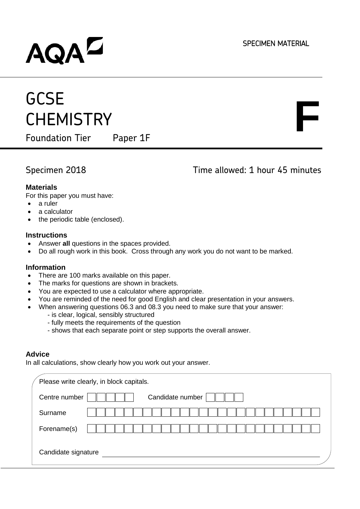**F**

## AQAD

## **GCSE CHEMISTRY**

Foundation Tier Paper 1F

Specimen 2018 Time allowed: 1 hour 45 minutes

#### **Materials**

For this paper you must have:

- a ruler
- a calculator
- the periodic table (enclosed).

#### **Instructions**

- Answer **all** questions in the spaces provided.
- Do all rough work in this book. Cross through any work you do not want to be marked.

#### **Information**

- There are 100 marks available on this paper.
- The marks for questions are shown in brackets.
- You are expected to use a calculator where appropriate.
- You are reminded of the need for good English and clear presentation in your answers.
- When answering questions 06.3 and 08.3 you need to make sure that your answer:
	- is clear, logical, sensibly structured
	- fully meets the requirements of the question
	- shows that each separate point or step supports the overall answer.

#### **Advice**

In all calculations, show clearly how you work out your answer.

| Please write clearly, in block capitals. |  |
|------------------------------------------|--|
| Candidate number<br>Centre number        |  |
| Surname                                  |  |
| Forename(s)                              |  |
| Candidate signature                      |  |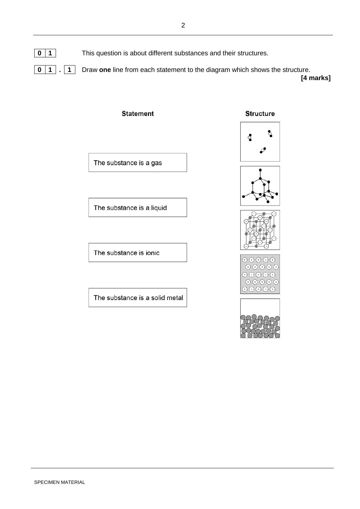**0 1** This question is about different substances and their structures. **0 1 . 1** Draw **one** line from each statement to the diagram which shows the structure.

 **[4 marks]**

# **Statement** The substance is a gas The substance is a liquid The substance is ionic The substance is a solid metal

**Structure** 









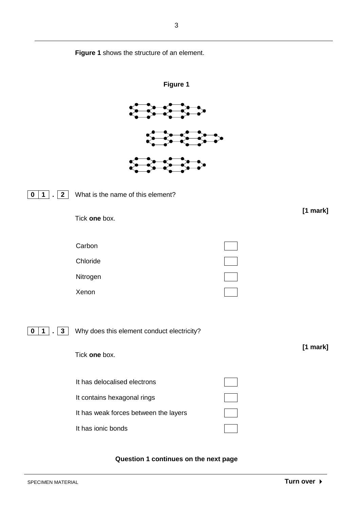

**Question 1 continues on the next page**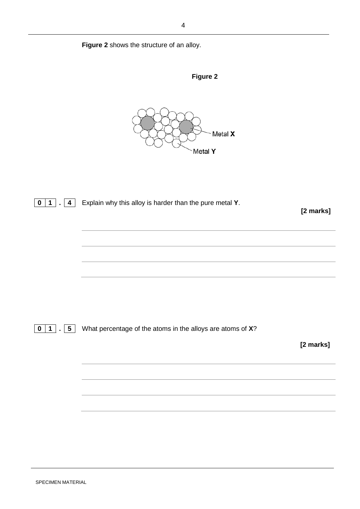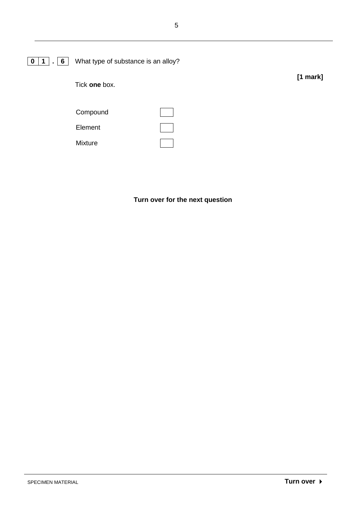

**Turn over for the next question**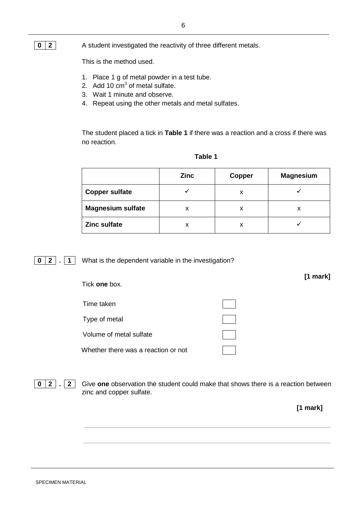## **0 2** A student investigated the reactivity of three different metals.

This is the method used.

- 1. Place 1 g of metal powder in a test tube.
- 2. Add 10  $\text{cm}^3$  of metal sulfate.
- 3. Wait 1 minute and observe.
- 4. Repeat using the other metals and metal sulfates.

The student placed a tick in **Table 1** if there was a reaction and a cross if there was no reaction.

|                          | <b>Zinc</b> | Copper | <b>Magnesium</b> |
|--------------------------|-------------|--------|------------------|
| <b>Copper sulfate</b>    |             | x      |                  |
| <b>Magnesium sulfate</b> |             | x      |                  |
| <b>Zinc sulfate</b>      | x           | x      |                  |

#### **Table 1**

**0 2 . 1** What is the dependent variable in the investigation?

| Tick one box.                       | [1 mark] |
|-------------------------------------|----------|
| Time taken                          |          |
| Type of metal                       |          |
| Volume of metal sulfate             |          |
| Whether there was a reaction or not |          |

**0 2 . 2** Give **one** observation the student could make that shows there is a reaction between zinc and copper sulfate.

 **[1 mark]**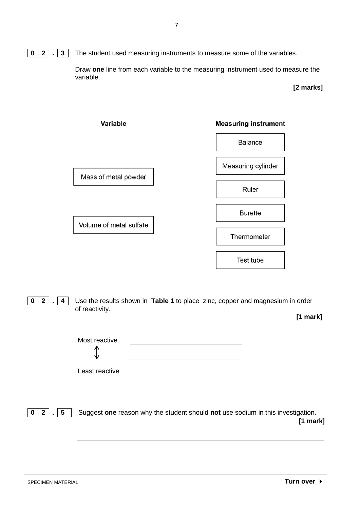#### **0 2 . 3** The student used measuring instruments to measure some of the variables.

Draw **one** line from each variable to the measuring instrument used to measure the variable.

#### **[2 marks]**



**0 2 . 4** Use the results shown in **Table 1** to place zinc, copper and magnesium in order of reactivity.

 **[1 mark]**

|                             | Most reactive<br>∧<br>₩                                                                       |
|-----------------------------|-----------------------------------------------------------------------------------------------|
|                             | Least reactive                                                                                |
| 0<br>$5^{\circ}$<br>$2$   . | Suggest one reason why the student should not use sodium in this investigation.<br>$[1$ mark] |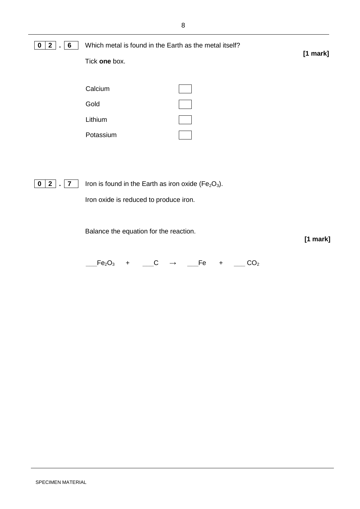| 0<br>$\mathbf{2}$<br>6 | Which metal is found in the Earth as the metal itself? |            |
|------------------------|--------------------------------------------------------|------------|
|                        | Tick one box.                                          | $[1$ mark] |
|                        |                                                        |            |
|                        | Calcium                                                |            |
|                        | Gold                                                   |            |
|                        | Lithium                                                |            |
|                        | Potassium                                              |            |
|                        |                                                        |            |
|                        |                                                        |            |
| 0<br>$\mathbf{2}$<br>7 | Iron is found in the Earth as iron oxide ( $Fe2O3$ ).  |            |
|                        | Iron oxide is reduced to produce iron.                 |            |
|                        |                                                        |            |
|                        | Balance the equation for the reaction.                 |            |
|                        |                                                        | [1 mark]   |

 $\mathsf{[Fe_2O_3 \quad + \quad \_C \quad \rightarrow \quad \_ \mathsf{[Fe \quad + \quad \_ CO_2}]}$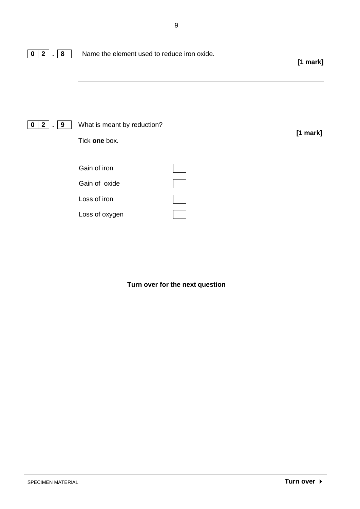| 8<br>$\mathbf{2}$<br>$\bf{0}$<br>$\blacksquare$    | Name the element used to reduce iron oxide.                     | $[1$ mark] |
|----------------------------------------------------|-----------------------------------------------------------------|------------|
| $\mathbf{2}$<br>9<br>$\mathbf 0$<br>$\blacksquare$ | What is meant by reduction?<br>Tick one box.                    | $[1$ mark] |
|                                                    | Gain of iron<br>Gain of oxide<br>Loss of iron<br>Loss of oxygen |            |

**Turn over for the next question**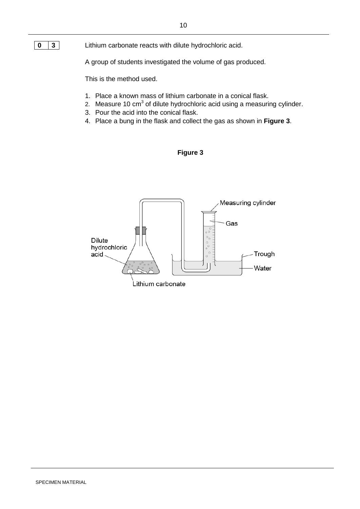#### **0 3** Lithium carbonate reacts with dilute hydrochloric acid.

A group of students investigated the volume of gas produced.

This is the method used.

- 1. Place a known mass of lithium carbonate in a conical flask.
- 2. Measure 10  $\text{cm}^3$  of dilute hydrochloric acid using a measuring cylinder.
- 3. Pour the acid into the conical flask.
- 4. Place a bung in the flask and collect the gas as shown in **Figure 3**.



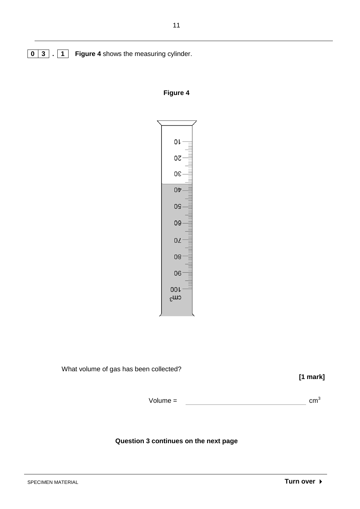**0 3 . 1 Figure 4** shows the measuring cylinder.

#### **Figure 4**



What volume of gas has been collected?

 **[1 mark]**

 $Volume = \n\qquad \qquad \qquad \qquad \qquad \qquad \qquad \qquad \qquad \qquad \text{cm}^3$ 

#### **Question 3 continues on the next page**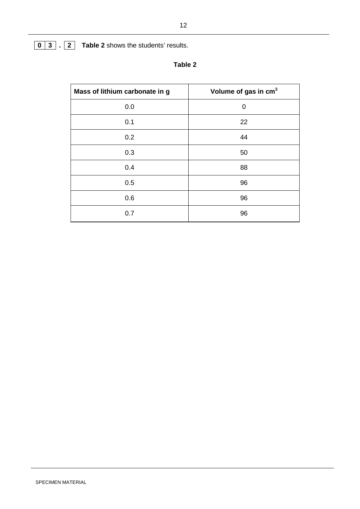## **0 3 . 2 Table 2** shows the students' results.

| Mass of lithium carbonate in g | Volume of gas in cm <sup>3</sup> |
|--------------------------------|----------------------------------|
| 0.0                            | 0                                |
| 0.1                            | 22                               |
| 0.2                            | 44                               |
| 0.3                            | 50                               |
| 0.4                            | 88                               |
| 0.5                            | 96                               |
| 0.6                            | 96                               |
| 0.7                            | 96                               |

## **Table 2**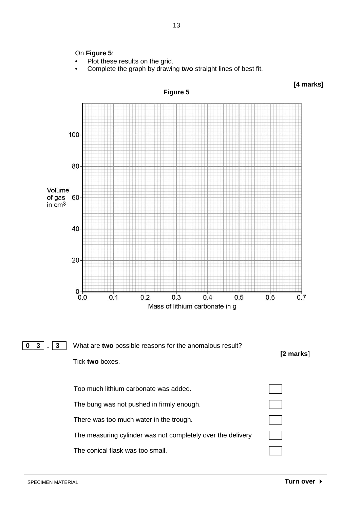

- Plot these results on the grid.
- Complete the graph by drawing **two** straight lines of best fit.

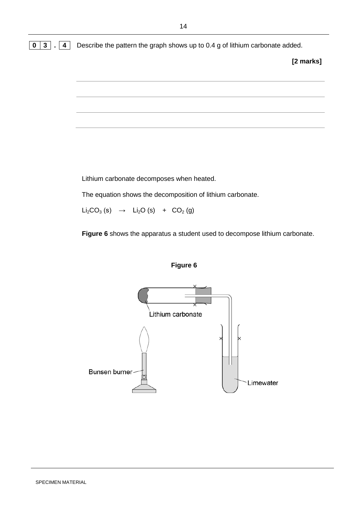**0 3 . 4** Describe the pattern the graph shows up to 0.4 g of lithium carbonate added.

**[2 marks]**

Lithium carbonate decomposes when heated.

The equation shows the decomposition of lithium carbonate.

 $Li<sub>2</sub>CO<sub>3</sub> (s)$   $\rightarrow$   $Li<sub>2</sub>O (s)$  +  $CO<sub>2</sub> (g)$ 

**Figure 6** shows the apparatus a student used to decompose lithium carbonate.



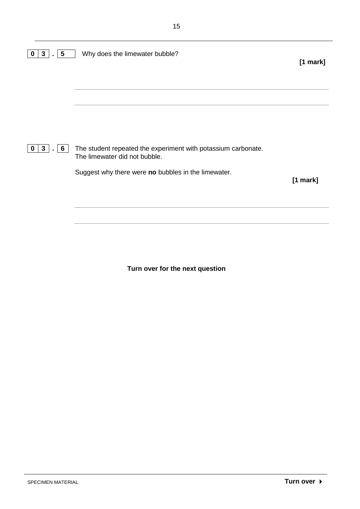| The student repeated the experiment with potassium carbonate.<br>$\mathbf{3}$<br>6<br>0<br>The limewater did not bubble.<br>Suggest why there were no bubbles in the limewater. | $[1$ mark] |
|---------------------------------------------------------------------------------------------------------------------------------------------------------------------------------|------------|
|                                                                                                                                                                                 |            |
|                                                                                                                                                                                 |            |
|                                                                                                                                                                                 | $[1$ mark] |

**Turn over for the next question**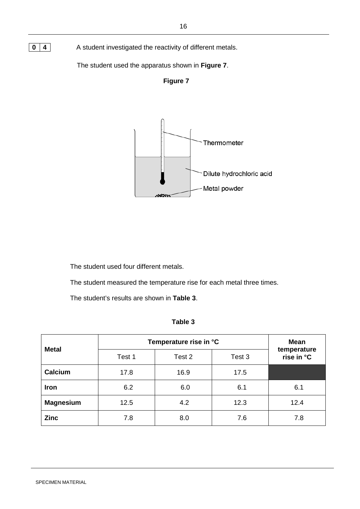## **0** 4 A student investigated the reactivity of different metals.

The student used the apparatus shown in **Figure 7**.





The student used four different metals.

The student measured the temperature rise for each metal three times.

The student's results are shown in **Table 3**.

| L<br>ι.<br>٠<br>÷<br>٧ |  |
|------------------------|--|
|------------------------|--|

| <b>Metal</b>     | Temperature rise in °C |        |        | <b>Mean</b>               |
|------------------|------------------------|--------|--------|---------------------------|
|                  | Test 1                 | Test 2 | Test 3 | temperature<br>rise in °C |
| Calcium          | 17.8                   | 16.9   | 17.5   |                           |
| Iron             | 6.2                    | 6.0    | 6.1    | 6.1                       |
| <b>Magnesium</b> | 12.5                   | 4.2    | 12.3   | 12.4                      |
| <b>Zinc</b>      | 7.8                    | 8.0    | 7.6    | 7.8                       |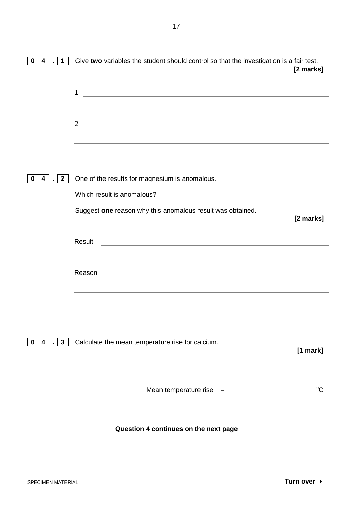| $\overline{\mathbf{4}}$<br>$\mathbf 1$<br>0 | Give two variables the student should control so that the investigation is a fair test.                                                                                                                                                                         | [2 marks]   |
|---------------------------------------------|-----------------------------------------------------------------------------------------------------------------------------------------------------------------------------------------------------------------------------------------------------------------|-------------|
|                                             | 1<br><u> 1989 - Johann Harry Harry Harry Harry Harry Harry Harry Harry Harry Harry Harry Harry Harry Harry Harry Harry</u>                                                                                                                                      |             |
|                                             | <u> 1989 - Andrea Santana, amerikana amerikana amerikana amerikana amerikana amerikana amerikana amerikana amerik</u><br>$\overline{2}$<br><u> 1989 - Andrea Station Barbara, amerikan personal di sebagai personal di sebagai personal di sebagai personal</u> |             |
|                                             |                                                                                                                                                                                                                                                                 |             |
| $\overline{2}$<br>$4 \mid$<br>0             | One of the results for magnesium is anomalous.                                                                                                                                                                                                                  |             |
|                                             | Which result is anomalous?                                                                                                                                                                                                                                      |             |
|                                             | Suggest one reason why this anomalous result was obtained.                                                                                                                                                                                                      | [2 marks]   |
|                                             | Result<br><u> 1980 - Johann Stoff, deutscher Stoff, der Stoff, der Stoff, der Stoff, der Stoff, der Stoff, der Stoff, der S</u>                                                                                                                                 |             |
|                                             | ,我们也不会有什么。""我们的人,我们也不会有什么?""我们的人,我们也不会有什么?""我们的人,我们也不会有什么?""我们的人,我们也不会有什么?""我们的人                                                                                                                                                                                |             |
|                                             | Reason<br><u> 1989 - Johann Barn, mars ann an t-Amhainn an t-Amhainn an t-Amhainn an t-Amhainn an t-Amhainn an t-Amhainn an</u>                                                                                                                                 |             |
|                                             |                                                                                                                                                                                                                                                                 |             |
| $ 4 $ . 3                                   | Calculate the mean temperature rise for calcium.                                                                                                                                                                                                                |             |
| $\mathbf{0}$                                |                                                                                                                                                                                                                                                                 | [1 mark]    |
|                                             | Mean temperature rise $=$                                                                                                                                                                                                                                       | $^{\circ}C$ |
|                                             | Question 4 continues on the next page                                                                                                                                                                                                                           |             |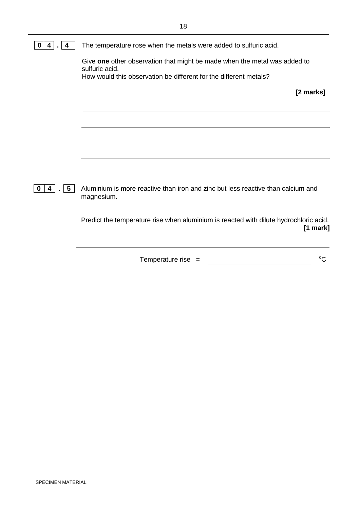| 4<br>4                | The temperature rose when the metals were added to sulfuric acid.                              |
|-----------------------|------------------------------------------------------------------------------------------------|
|                       | Give one other observation that might be made when the metal was added to<br>sulfuric acid.    |
|                       | How would this observation be different for the different metals?                              |
|                       | [2 marks]                                                                                      |
|                       |                                                                                                |
|                       |                                                                                                |
|                       |                                                                                                |
|                       |                                                                                                |
| 5<br>4<br>$\mathbf 0$ | Aluminium is more reactive than iron and zinc but less reactive than calcium and<br>magnesium. |
|                       | Predict the temperature rise when aluminium is reacted with dilute hydrochloric acid.          |

 $Temperature$  rise  $=$  $\rm ^{\circ}C$ 

**[1 mark]**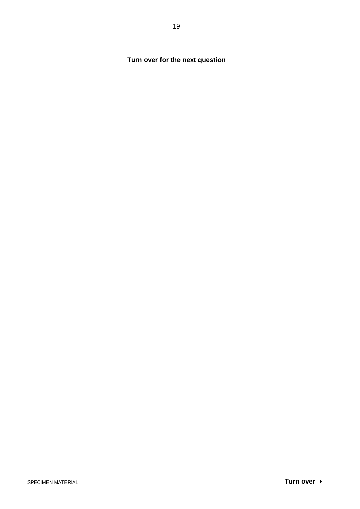**Turn over for the next question**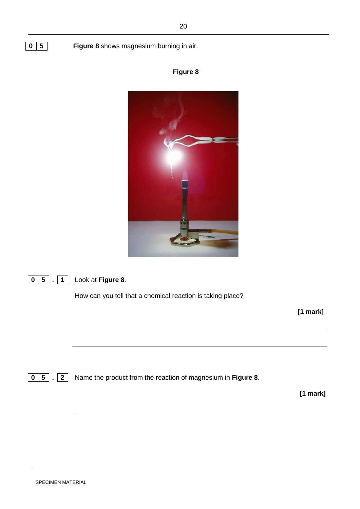**0 5 Figure 8** shows magnesium burning in air.







How can you tell that a chemical reaction is taking place?

 **[1 mark]**

**0 5 . 2** Name the product from the reaction of magnesium in **Figure 8**.

 **[1 mark]**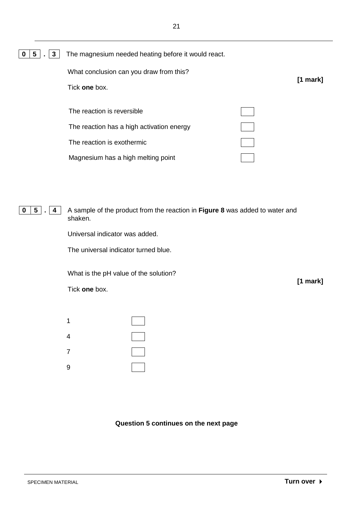| $\boxed{0}$ $\boxed{5}$ . $\boxed{3}$ The magnesium needed heating before it would react. |
|-------------------------------------------------------------------------------------------|
|-------------------------------------------------------------------------------------------|

| What conclusion can you draw from this?   | $[1$ mark] |
|-------------------------------------------|------------|
| Tick one box.                             |            |
|                                           |            |
| The reaction is reversible                |            |
| The reaction has a high activation energy |            |
| The reaction is exothermic                |            |
| Magnesium has a high melting point        |            |

**0 5 . 4** A sample of the product from the reaction in **Figure 8** was added to water and shaken.

Universal indicator was added.

The universal indicator turned blue.

What is the pH value of the solution?

Tick **one** box.

| 1 |  |
|---|--|
| 4 |  |
| 7 |  |
| 9 |  |

**Question 5 continues on the next page**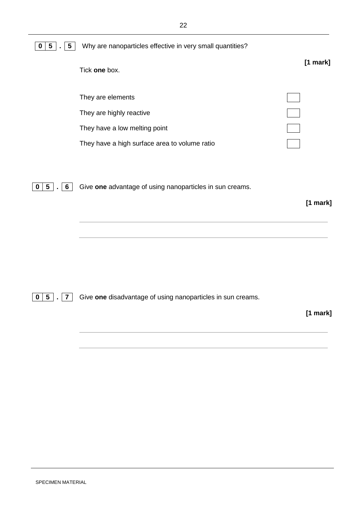**0 5 . 5** Why are nanoparticles effective in very small quantities?

| Tick one box.                                 | $[1$ mark] |
|-----------------------------------------------|------------|
|                                               |            |
| They are elements                             |            |
| They are highly reactive                      |            |
| They have a low melting point                 |            |
| They have a high surface area to volume ratio |            |

**0 5 . 6** Give **one** advantage of using nanoparticles in sun creams.

 **[1 mark]**

**0 5 . 7** Give **one** disadvantage of using nanoparticles in sun creams.

#### **[1 mark]**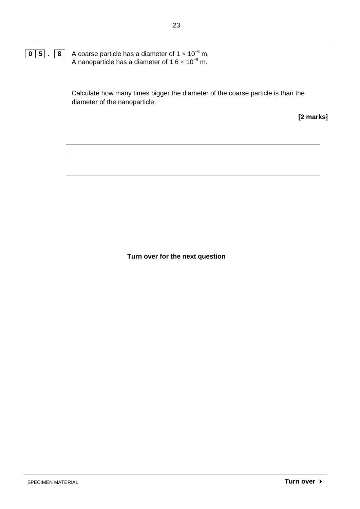#### **0 5 . 8** A coarse particle has a diameter of 1 × 10<sup>−</sup><sup>6</sup> m. A nanoparticle has a diameter of 1.6  $\times$  10<sup>−9</sup> m.

Calculate how many times bigger the diameter of the coarse particle is than the diameter of the nanoparticle.

**[2 marks]**

**Turn over for the next question**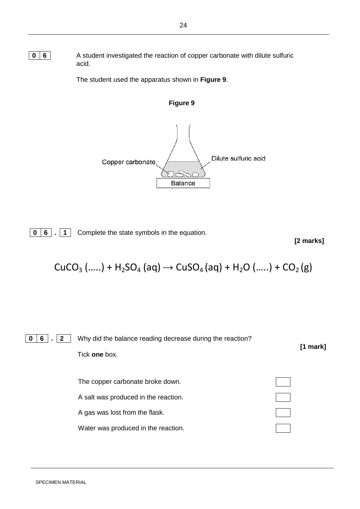**0** 6 **6** A student investigated the reaction of copper carbonate with dilute sulfuric acid.

The student used the apparatus shown in **Figure 9**.



**Balance** 

**0 6 . 1** Complete the state symbols in the equation.

 **[2 marks]**

$$
CuCO_{3} (.....) + H_{2}SO_{4} (aq) \rightarrow CuSO_{4} (aq) + H_{2}O (.....) + CO_{2} (g)
$$

$$
\boxed{0 \mid 6} \ .
$$

**2 Why did the balance reading decrease during the reaction? [1 mark]** Tick **one** box.

The copper carbonate broke down. A salt was produced in the reaction. A gas was lost from the flask. Water was produced in the reaction.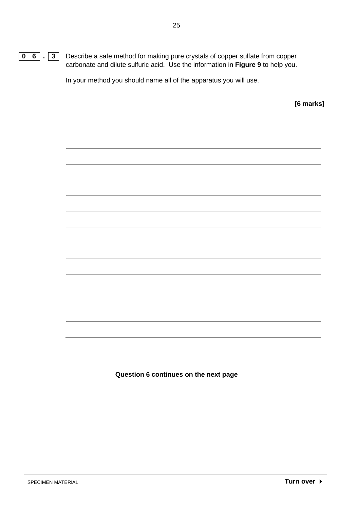**0 6 . 3** Describe a safe method for making pure crystals of copper sulfate from copper carbonate and dilute sulfuric acid. Use the information in **Figure 9** to help you.

In your method you should name all of the apparatus you will use.

**[6 marks]**

**Question 6 continues on the next page**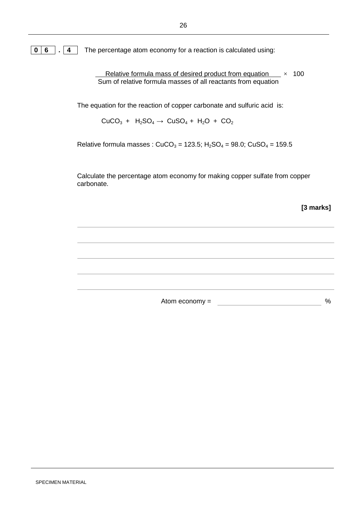**0 6 . 4** The percentage atom economy for a reaction is calculated using:

Relative formula mass of desired product from equation  $\times$  100 Sum of relative formula masses of all reactants from equation

The equation for the reaction of copper carbonate and sulfuric acid is:

 $CuCO<sub>3</sub> + H<sub>2</sub>SO<sub>4</sub> \rightarrow CuSO<sub>4</sub> + H<sub>2</sub>O + CO<sub>2</sub>$ 

Relative formula masses :  $CuCO_3 = 123.5$ ;  $H_2SO_4 = 98.0$ ;  $CuSO_4 = 159.5$ 

Calculate the percentage atom economy for making copper sulfate from copper carbonate.

 **[3 marks]**

Atom economy =  $\frac{1}{2}$ %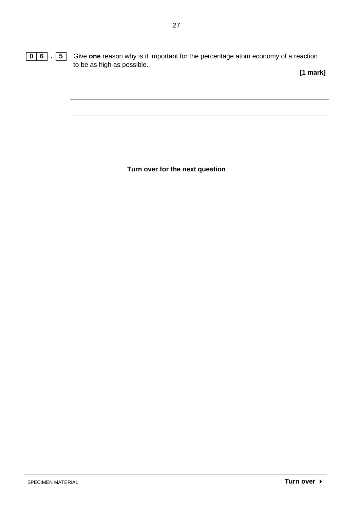**[1 mark]**

**Turn over for the next question**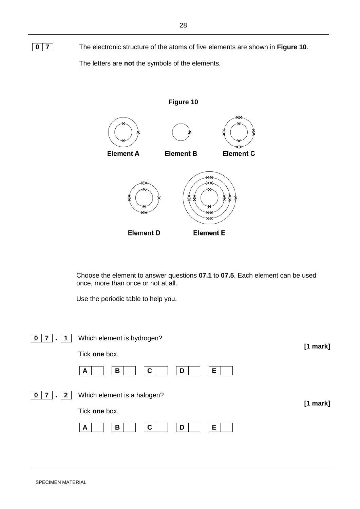**0 7** The electronic structure of the atoms of five elements are shown in **Figure 10**.

The letters are **not** the symbols of the elements.



Choose the element to answer questions **07.1** to **07.5**. Each element can be used once, more than once or not at all.

Use the periodic table to help you.

| 0                      | Which element is hydrogen?  |            |
|------------------------|-----------------------------|------------|
|                        | Tick one box.               | $[1$ mark] |
|                        | E<br>В<br>C<br>D<br>A       |            |
| 7<br>$\mathbf{2}$<br>0 | Which element is a halogen? | $[1$ mark] |
|                        | Tick one box.               |            |
|                        | Е<br>B<br>C<br>D<br>A       |            |
|                        |                             |            |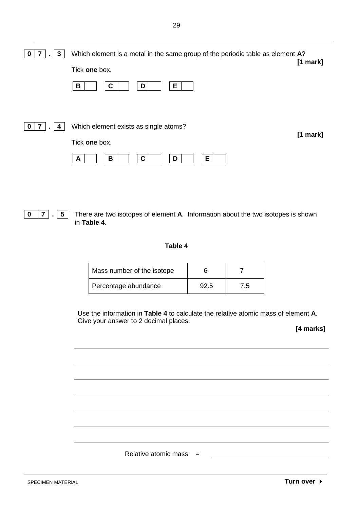| 3 | Which element is a metal in the same group of the periodic table as element A?<br>Tick one box.<br>Е<br>B<br>С<br>D | $[1$ mark] |
|---|---------------------------------------------------------------------------------------------------------------------|------------|
|   | Which element exists as single atoms?<br>Tick one box.<br>Е<br>С<br>В<br>D<br>A                                     | $[1$ mark] |

**0 7 . 5** There are two isotopes of element **A**. Information about the two isotopes is shown in **Table 4**.

#### **Table 4**

| Mass number of the isotope |      |     |
|----------------------------|------|-----|
| Percentage abundance       | 92.5 | 1.5 |

Relative atomic mass  $=$ 

Use the information in **Table 4** to calculate the relative atomic mass of element **A**. Give your answer to 2 decimal places.

**[4 marks]**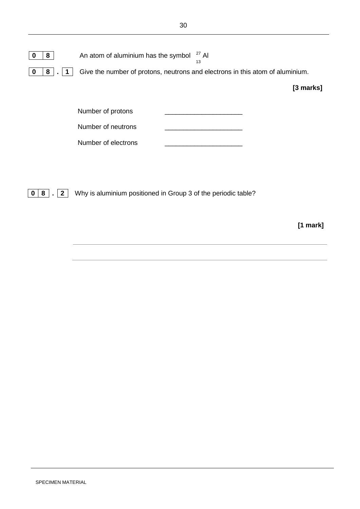| 8 | An atom of aluminium has the symbol $27$ Al                                   | 13 |             |
|---|-------------------------------------------------------------------------------|----|-------------|
| 8 | Give the number of protons, neutrons and electrons in this atom of aluminium. |    |             |
|   |                                                                               |    | $[3$ marks] |
|   | Number of protons                                                             |    |             |
|   | Number of neutrons                                                            |    |             |

**0 8 . 2** Why is aluminium positioned in Group 3 of the periodic table?

Number of electrons

 **[1 mark]**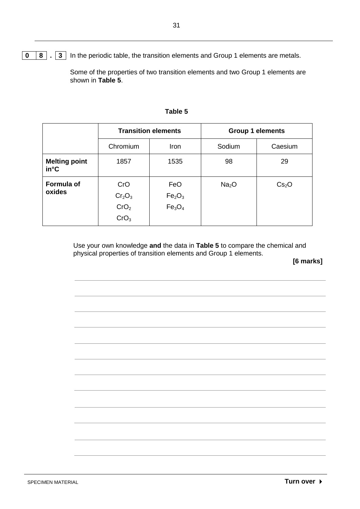**0 8**  $\overline{3}$  In the periodic table, the transition elements and Group 1 elements are metals.

Some of the properties of two transition elements and two Group 1 elements are shown in **Table 5**.

|                                       | <b>Transition elements</b>                                                    |                                                                         | <b>Group 1 elements</b> |                   |
|---------------------------------------|-------------------------------------------------------------------------------|-------------------------------------------------------------------------|-------------------------|-------------------|
|                                       | Chromium                                                                      | <b>Iron</b>                                                             | Sodium                  | Caesium           |
| <b>Melting point</b><br>$in^{\circ}C$ | 1857                                                                          | 1535                                                                    | 98                      | 29                |
| <b>Formula of</b><br>oxides           | CrO<br>Cr <sub>2</sub> O <sub>3</sub><br>CrO <sub>2</sub><br>CrO <sub>3</sub> | FeO<br>Fe <sub>2</sub> O <sub>3</sub><br>Fe <sub>3</sub> O <sub>4</sub> | Na <sub>2</sub> O       | Cs <sub>2</sub> O |

#### **Table 5**

Use your own knowledge **and** the data in **Table 5** to compare the chemical and physical properties of transition elements and Group 1 elements.

**[6 marks]**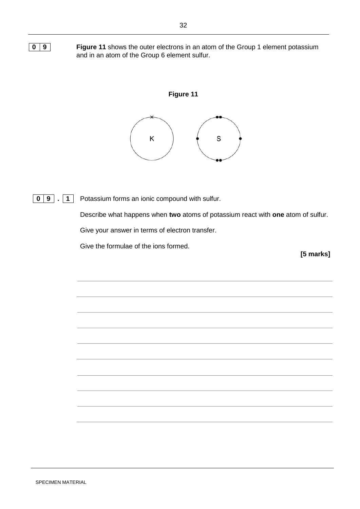**0 9 Figure 11** shows the outer electrons in an atom of the Group 1 element potassium and in an atom of the Group 6 element sulfur.



**0 9 . 1** Potassium forms an ionic compound with sulfur.

Describe what happens when **two** atoms of potassium react with **one** atom of sulfur. Give your answer in terms of electron transfer.

Give the formulae of the ions formed.

**[5 marks]**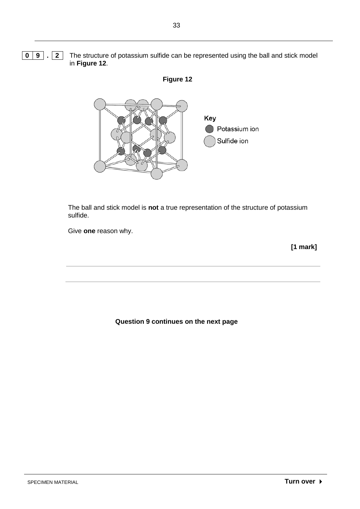**0 9**  $\boxed{2}$  The structure of potassium sulfide can be represented using the ball and stick model in **Figure 12**.





The ball and stick model is **not** a true representation of the structure of potassium sulfide.

Give **one** reason why.

 **[1 mark]**

**Question 9 continues on the next page**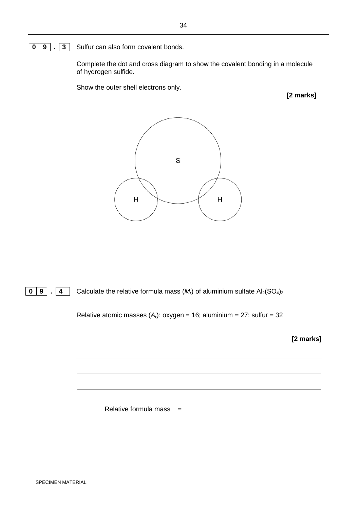#### **0 9 . 3** Sulfur can also form covalent bonds.

Complete the dot and cross diagram to show the covalent bonding in a molecule of hydrogen sulfide.

Show the outer shell electrons only.

**[2 marks]**



**0 9**  $\overline{9}$  **4** Calculate the relative formula mass  $(M<sub>r</sub>)$  of aluminium sulfate Al<sub>2</sub>(SO<sub>4</sub>)<sub>3</sub>

Relative atomic masses  $(A<sub>r</sub>)$ : oxygen = 16; aluminium = 27; sulfur = 32

 **[2 marks]**

Relative formula mass  $=$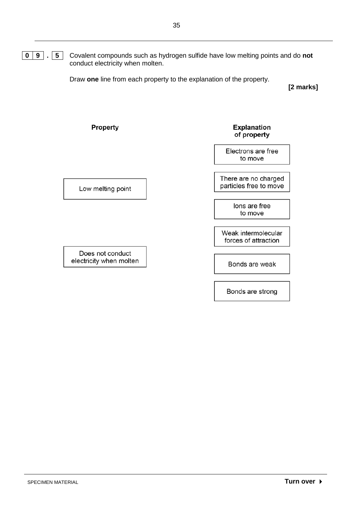**0 9 . 5** Covalent compounds such as hydrogen sulfide have low melting points and do **not** conduct electricity when molten.

Draw **one** line from each property to the explanation of the property.

**[2 marks]**

### Property

#### **Explanation** of property

Electrons are free to move

There are no charged particles free to move

> lons are free to move

Weak intermolecular forces of attraction

Bonds are weak

Bonds are strong

Low melting point

Does not conduct electricity when molten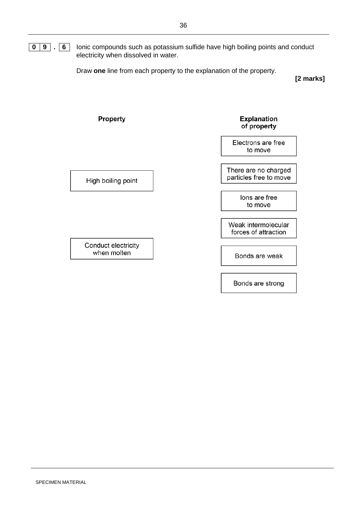#### **0 9 . 6** Ionic compounds such as potassium sulfide have high boiling points and conduct electricity when dissolved in water.

Draw **one** line from each property to the explanation of the property.

**[2 marks]**

Property Explanation of property Electrons are free to move There are no charged particles free to move High boiling point lons are free to move Weak intermolecular forces of attraction

Conduct electricity when molten

Bonds are weak

Bonds are strong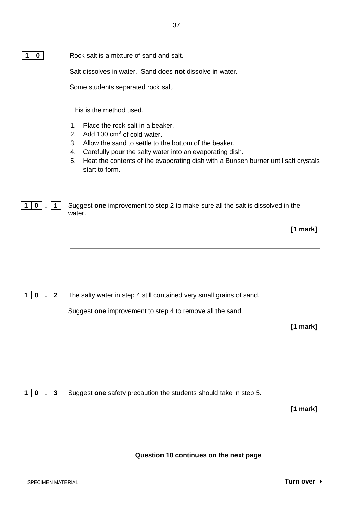| 1 0 | Rock salt is a mixture of sand and salt. |
|-----|------------------------------------------|
|     |                                          |

Salt dissolves in water. Sand does **not** dissolve in water.

Some students separated rock salt.

This is the method used.

- 1. Place the rock salt in a beaker.
- 2. Add 100  $cm<sup>3</sup>$  of cold water.
- 3. Allow the sand to settle to the bottom of the beaker.
- 4. Carefully pour the salty water into an evaporating dish.
- 5. Heat the contents of the evaporating dish with a Bunsen burner until salt crystals start to form.

| 1   0   .   1   Suggest one improvement to step 2 to make sure all the salt is dissolved in the |
|-------------------------------------------------------------------------------------------------|
| water.                                                                                          |

 **[1 mark]**

**1 0 . 2** The salty water in step 4 still contained very small grains of sand.

**1 0 . 3** Suggest **one** safety precaution the students should take in step 5.

Suggest **one** improvement to step 4 to remove all the sand.

 **[1 mark]**

 **[1 mark]**

**Question 10 continues on the next page**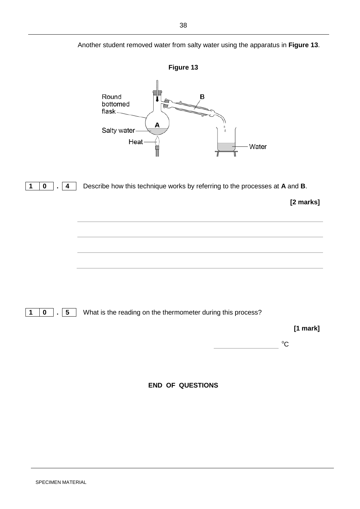Another student removed water from salty water using the apparatus in **Figure 13**.